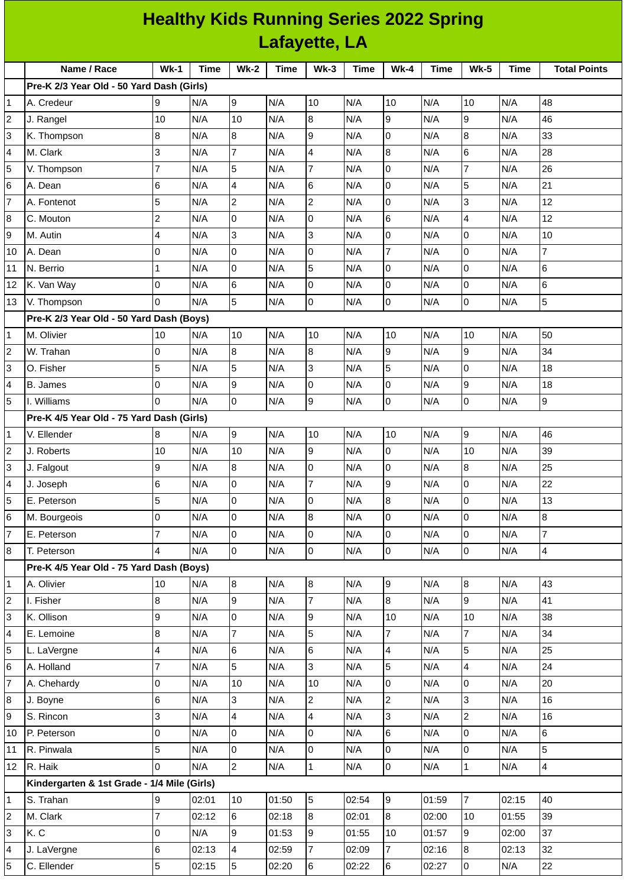|                          | <b>Healthy Kids Running Series 2022 Spring</b> |                |       |                 |             |                 |             |                  |       |                |             |                     |
|--------------------------|------------------------------------------------|----------------|-------|-----------------|-------------|-----------------|-------------|------------------|-------|----------------|-------------|---------------------|
|                          | Lafayette, LA                                  |                |       |                 |             |                 |             |                  |       |                |             |                     |
|                          | Name / Race                                    | $Wk-1$         | Time  | $Wk-2$          | <b>Time</b> | $Wk-3$          | <b>Time</b> | <b>Wk-4</b>      | Time  | <b>Wk-5</b>    | <b>Time</b> | <b>Total Points</b> |
|                          | Pre-K 2/3 Year Old - 50 Yard Dash (Girls)      |                |       |                 |             |                 |             |                  |       |                |             |                     |
| 1                        | A. Credeur                                     | 9              | N/A   | 9               | N/A         | 10              | N/A         | 10               | N/A   | 10             | N/A         | 48                  |
| $\overline{c}$           | J. Rangel                                      | 10             | N/A   | 10              | N/A         | $\overline{8}$  | N/A         | 9                | N/A   | $\overline{9}$ | N/A         | 46                  |
| 3                        | K. Thompson                                    | 8              | N/A   | 8               | N/A         | 9               | N/A         | 0                | N/A   | 8              | N/A         | 33                  |
| $\overline{\mathcal{L}}$ | M. Clark                                       | 3              | N/A   | 7               | N/A         | 4               | N/A         | $\bf{8}$         | N/A   | 6              | N/A         | 28                  |
| $\overline{5}$           | V. Thompson                                    | $\overline{7}$ | N/A   | 5               | N/A         | $\overline{7}$  | N/A         | 0                | N/A   | $\overline{7}$ | N/A         | 26                  |
| 6                        | A. Dean                                        | 6              | N/A   | 4               | N/A         | $6\phantom{.}6$ | N/A         | l0               | N/A   | 5              | N/A         | 21                  |
| $\overline{7}$           | A. Fontenot                                    | 5              | N/A   | $\overline{c}$  | N/A         | $\overline{c}$  | N/A         | 0                | N/A   | 3              | N/A         | 12                  |
| 8                        | C. Mouton                                      | $\overline{c}$ | N/A   | 0               | N/A         | $\overline{0}$  | N/A         | 6                | N/A   | 4              | N/A         | 12                  |
| 9                        | M. Autin                                       | 4              | N/A   | 3               | N/A         | 3               | N/A         | 0                | N/A   | 0              | N/A         | 10                  |
| 10                       | A. Dean                                        | 0              | N/A   | $\overline{0}$  | N/A         | 0               | N/A         | $\overline{7}$   | N/A   | $\overline{0}$ | N/A         | $\overline{7}$      |
| 11                       | N. Berrio                                      | 1              | N/A   | 0               | N/A         | 5               | N/A         | $\overline{0}$   | N/A   | 0              | N/A         | $6\phantom{1}6$     |
| 12                       | K. Van Way                                     | 0              | N/A   | 6               | N/A         | 0               | N/A         | 0                | N/A   | $\overline{0}$ | N/A         | $\,$ 6              |
| 13                       | V. Thompson                                    | 0              | N/A   | 5               | N/A         | 0               | N/A         | 0                | N/A   | 0              | N/A         | 5                   |
|                          | Pre-K 2/3 Year Old - 50 Yard Dash (Boys)       |                |       |                 |             |                 |             |                  |       |                |             |                     |
| $\mathbf{1}$             | M. Olivier                                     | 10             | N/A   | 10              | N/A         | 10              | N/A         | 10               | N/A   | 10             | N/A         | 50                  |
| $\mathbf 2$              | W. Trahan                                      | 0              | N/A   | 8               | N/A         | $\overline{8}$  | N/A         | $\overline{9}$   | N/A   | 9              | N/A         | 34                  |
| 3                        | O. Fisher                                      | 5              | N/A   | 5               | N/A         | 3               | N/A         | 5                | N/A   | 0              | N/A         | 18                  |
| 4                        | <b>B.</b> James                                | 0              | N/A   | 9               | N/A         | 0               | N/A         | $\mathsf{O}$     | N/A   | 9              | N/A         | 18                  |
| 5                        | I. Williams                                    | 0              | N/A   | $\Omega$        | N/A         | 9               | N/A         | $\Omega$         | N/A   | 0              | N/A         | 9                   |
|                          | Pre-K 4/5 Year Old - 75 Yard Dash (Girls)      |                |       |                 |             |                 |             |                  |       |                |             |                     |
| $\mathbf 1$              | V. Ellender                                    | $\bf{8}$       | N/A   | 9               | N/A         | 10              | N/A         | 10               | N/A   | $\overline{9}$ | N/A         | 46                  |
| $\overline{c}$           | J. Roberts                                     | 10             | N/A   | 10              | N/A         | 9               | N/A         | 0                | N/A   | 10             | N/A         | 39                  |
| 3                        | J. Falgout                                     | 9              | N/A   | 8               | N/A         | 0               | N/A         | 0                | N/A   | 8              | N/A         | 25                  |
| 4                        | J. Joseph                                      | 6              | N/A   | $\overline{0}$  | N/A         | $\overline{7}$  | N/A         | 9                | N/A   | $\overline{0}$ | N/A         | 22                  |
| 5                        | E. Peterson                                    | 5              | N/A   | 0               | N/A         | 0               | N/A         | $\bf{8}$         | N/A   | 0              | N/A         | 13                  |
| 6                        | M. Bourgeois                                   | 0              | N/A   | 0               | N/A         | 8               | N/A         | $\overline{0}$   | N/A   | $\overline{0}$ | N/A         | 8                   |
| 7                        | E. Peterson                                    | $\overline{7}$ | N/A   | 0               | N/A         | $\mathsf{O}$    | N/A         | $\overline{0}$   | N/A   | 0              | N/A         | $\overline{7}$      |
|                          |                                                | 4              | N/A   | $\overline{0}$  | N/A         | 0               |             | $\overline{0}$   | N/A   |                |             | 4                   |
| 8                        | T. Peterson                                    |                |       |                 |             |                 | N/A         |                  |       | 0              | N/A         |                     |
|                          | Pre-K 4/5 Year Old - 75 Yard Dash (Boys)       |                |       |                 |             |                 |             |                  |       |                |             |                     |
| $\mathbf{1}$             | A. Olivier                                     | $10\,$         | N/A   | $\bf{8}$        | N/A         | 8               | N/A         | $\boldsymbol{9}$ | N/A   | $8\,$          | N/A         | 43                  |
| 2                        | I. Fisher                                      | 8              | N/A   | 9               | N/A         | $\overline{7}$  | N/A         | $\bf{8}$         | N/A   | $\overline{9}$ | N/A         | 41                  |
| 3                        | K. Ollison                                     | 9              | N/A   | $\overline{0}$  | N/A         | 9               | N/A         | 10               | N/A   | 10             | N/A         | 38                  |
| 4                        | E. Lemoine                                     | 8              | N/A   | $\overline{7}$  | N/A         | 5               | N/A         | $\overline{7}$   | N/A   | $\overline{7}$ | N/A         | 34                  |
| 5                        | L. LaVergne                                    | 4              | N/A   | 6               | N/A         | $\,6$           | N/A         | $\pmb{4}$        | N/A   | 5              | N/A         | 25                  |
| 6                        | A. Holland                                     | $\overline{7}$ | N/A   | 5               | N/A         | 3               | N/A         | 5                | N/A   | 4              | N/A         | 24                  |
| $\overline{7}$           | A. Chehardy                                    | 0              | N/A   | $10\,$          | N/A         | 10              | N/A         | 0                | N/A   | 0              | N/A         | 20                  |
| 8                        | J. Boyne                                       | 6              | N/A   | 3               | N/A         | $\overline{2}$  | N/A         | $\overline{c}$   | N/A   | 3              | N/A         | 16                  |
| 9                        | S. Rincon                                      | 3              | N/A   | 4               | N/A         | 4               | N/A         | 3                | N/A   | $\mathbf{2}$   | N/A         | 16                  |
| 10                       | P. Peterson                                    | 0              | N/A   | 0               | N/A         | $\pmb{0}$       | N/A         | 6                | N/A   | $\overline{0}$ | N/A         | 6                   |
| 11                       | R. Pinwala                                     | 5              | N/A   | 0               | N/A         | 0               | N/A         | 0                | N/A   | 0              | N/A         | 5                   |
| 12                       | R. Haik                                        | 0              | N/A   | $\overline{2}$  | N/A         | $\mathbf{1}$    | N/A         | l O              | N/A   | $\mathbf{1}$   | N/A         | 4                   |
|                          | Kindergarten & 1st Grade - 1/4 Mile (Girls)    |                |       |                 |             |                 |             |                  |       |                |             |                     |
| 1                        | S. Trahan                                      | 9              | 02:01 | 10              | 01:50       | 5               | 02:54       | 9                | 01:59 | $\overline{7}$ | 02:15       | 40                  |
| $\overline{c}$           | M. Clark                                       | $\overline{7}$ | 02:12 | $6\overline{6}$ | 02:18       | 8               | 02:01       | $\overline{8}$   | 02:00 | 10             | 01:55       | 39                  |
| 3                        | K.C                                            | 0              | N/A   | 9               | 01:53       | 9               | 01:55       | 10               | 01:57 | $\overline{9}$ | 02:00       | 37                  |
| 4                        | J. LaVergne                                    | 6              | 02:13 | 4               | 02:59       | 7               | 02:09       | $\overline{7}$   | 02:16 | 8              | 02:13       | 32                  |
| 5                        | C. Ellender                                    | 5              | 02:15 | 5               | 02:20       | $6\phantom{.0}$ | 02:22       | 6                | 02:27 | $\pmb{0}$      | N/A         | 22                  |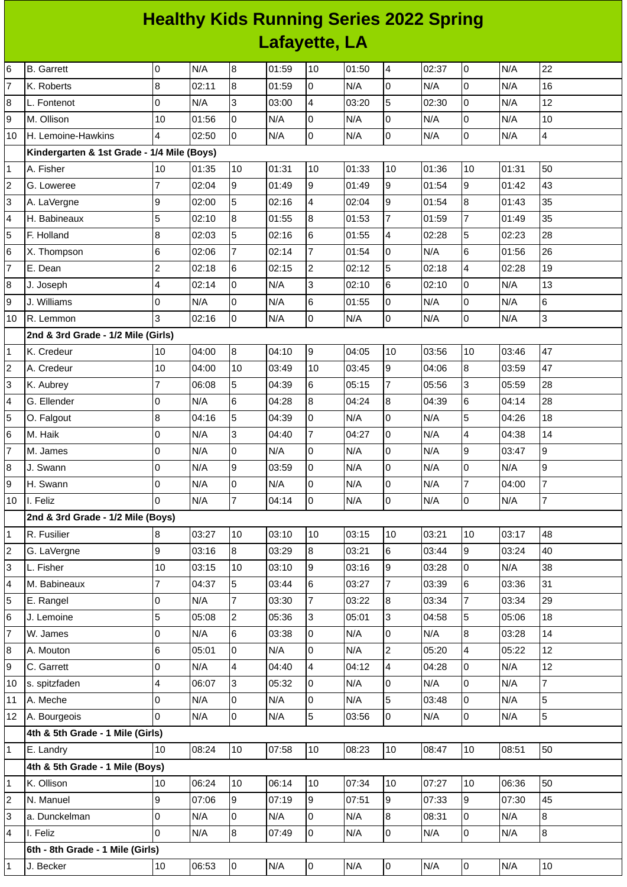## **Healthy Kids Running Series 2022 Spring Lafayette, LA**

| 6              | <b>B.</b> Garrett                          | $\overline{0}$           | N/A   | 8              | 01:59 | 10             | 01:50 | $\overline{4}$           | 02:37 | $\overline{0}$           | N/A   | 22             |
|----------------|--------------------------------------------|--------------------------|-------|----------------|-------|----------------|-------|--------------------------|-------|--------------------------|-------|----------------|
| 7              | K. Roberts                                 | 8                        | 02:11 | 8              | 01:59 | $\overline{0}$ | N/A   | $\overline{0}$           | N/A   | O                        | N/A   | 16             |
| 8              | L. Fontenot                                | $\overline{0}$           | N/A   | 3              | 03:00 | $\overline{4}$ | 03:20 | 5                        | 02:30 | lo                       | N/A   | 12             |
| 9              | M. Ollison                                 | 10                       | 01:56 | l0             | N/A   | l0             | N/A   | $\overline{0}$           | N/A   | lo                       | N/A   | 10             |
| 10             | H. Lemoine-Hawkins                         | $\overline{\mathcal{A}}$ | 02:50 | l0             | N/A   | O              | N/A   | $\overline{0}$           | N/A   | 0                        | N/A   | $\overline{4}$ |
|                | Kindergarten & 1st Grade - 1/4 Mile (Boys) |                          |       |                |       |                |       |                          |       |                          |       |                |
| 1              | A. Fisher                                  | 10                       | 01:35 | 10             | 01:31 | 10             | 01:33 | 10                       | 01:36 | 10                       | 01:31 | 50             |
| 2              | G. Loweree                                 | $\overline{7}$           | 02:04 | 9              | 01:49 | 9              | 01:49 | 9                        | 01:54 | $\overline{9}$           | 01:42 | 43             |
| 3              | A. LaVergne                                | 9                        | 02:00 | 5              | 02:16 | $\overline{4}$ | 02:04 | 9                        | 01:54 | $\overline{8}$           | 01:43 | 35             |
| 4              | H. Babineaux                               | 5                        | 02:10 | 8              | 01:55 | 8              | 01:53 | $\overline{7}$           | 01:59 | $\overline{7}$           | 01:49 | 35             |
| 5              | F. Holland                                 | 8                        | 02:03 | 5              | 02:16 | 6              | 01:55 | 4                        | 02:28 | 5                        | 02:23 | 28             |
| 6              | X. Thompson                                | 6                        | 02:06 | $\overline{7}$ | 02:14 | $\overline{7}$ | 01:54 | O                        | N/A   | 6                        | 01:56 | 26             |
| $\overline{7}$ | E. Dean                                    | $\overline{c}$           | 02:18 | 6              | 02:15 | $\overline{c}$ | 02:12 | 5                        | 02:18 | $\overline{4}$           | 02:28 | 19             |
| 8              | J. Joseph                                  | $\overline{\mathbf{4}}$  | 02:14 | l0             | N/A   | 3              | 02:10 | $6\phantom{a}$           | 02:10 | lo                       | N/A   | 13             |
| 9              | J. Williams                                | 0                        | N/A   | l0             | N/A   | $\,6$          | 01:55 | $\overline{0}$           | N/A   | lo                       | N/A   | 6              |
| 10             | R. Lemmon                                  | 3                        | 02:16 | Iо             | N/A   | $\overline{0}$ | N/A   | $\overline{0}$           | N/A   | O                        | N/A   | 3              |
|                | 2nd & 3rd Grade - 1/2 Mile (Girls)         |                          |       |                |       |                |       |                          |       |                          |       |                |
| 1              | K. Credeur                                 | 10                       | 04:00 | 8              | 04:10 | 9              | 04:05 | 10                       | 03:56 | 10                       | 03:46 | 47             |
| $\overline{c}$ | A. Credeur                                 | 10                       | 04:00 | 10             | 03:49 | 10             | 03:45 | 9                        | 04:06 | 8                        | 03:59 | 47             |
| 3              | K. Aubrey                                  | $\overline{7}$           | 06:08 | 5              | 04:39 | $6\phantom{a}$ | 05:15 | $\overline{7}$           | 05:56 | 3                        | 05:59 | 28             |
| 4              | G. Ellender                                | $\overline{0}$           | N/A   | 6              | 04:28 | 8              | 04:24 | $\boldsymbol{8}$         | 04:39 | $\,6$                    | 04:14 | 28             |
| 5              | O. Falgout                                 | $\bf{8}$                 | 04:16 | 5              | 04:39 | 0              | N/A   | $\overline{0}$           | N/A   | 5                        | 04:26 | 18             |
| 6              | M. Haik                                    | 0                        | N/A   | 3              | 04:40 | $\overline{7}$ | 04:27 | l0                       | N/A   | $\overline{\mathcal{L}}$ | 04:38 | 14             |
| $\overline{7}$ | M. James                                   | 0                        | N/A   | 0              | N/A   | 0              | N/A   | O                        | N/A   | $\boldsymbol{9}$         | 03:47 | 9              |
| 8              | J. Swann                                   | $\overline{0}$           | N/A   | 9              | 03:59 | l0             | N/A   | $\overline{0}$           | N/A   | 0                        | N/A   | 9              |
| 9              | H. Swann                                   | 0                        | N/A   | 0              | N/A   | 0              | N/A   | $\overline{0}$           | N/A   | $\bf 7$                  | 04:00 | $\overline{7}$ |
| 10             | I. Feliz                                   | $\Omega$                 | N/A   | $\overline{7}$ | 04:14 | l0             | N/A   | $\overline{0}$           | N/A   | O                        | N/A   | $\overline{7}$ |
|                | 2nd & 3rd Grade - 1/2 Mile (Boys)          |                          |       |                |       |                |       |                          |       |                          |       |                |
| 1              | R. Fusilier                                | $\bf{8}$                 | 03:27 | 10             | 03:10 | 10             | 03:15 | 10                       | 03:21 | 10                       | 03:17 | 48             |
| $\overline{c}$ | G. LaVergne                                | 9                        | 03:16 | 8              | 03:29 | $\overline{8}$ | 03:21 | $6\overline{6}$          | 03:44 | 9                        | 03:24 | 40             |
| 3              | L. Fisher                                  | 10                       | 03:15 | 10             | 03:10 | 9              | 03:16 | 9                        | 03:28 | O                        | N/A   | 38             |
| 4              | M. Babineaux                               | $\overline{7}$           | 04:37 | 5              | 03:44 | $\,6$          | 03:27 | $\overline{7}$           | 03:39 | 6                        | 03:36 | 31             |
| 5              | E. Rangel                                  | 0                        | N/A   | $\overline{7}$ | 03:30 | $\overline{7}$ | 03:22 | $\overline{8}$           | 03:34 | $\overline{7}$           | 03:34 | 29             |
| 6              | J. Lemoine                                 | 5                        | 05:08 | $\overline{2}$ | 05:36 | 3              | 05:01 | 3                        | 04:58 | 5                        | 05:06 | 18             |
| $\overline{7}$ | W. James                                   | 0                        | N/A   | 6              | 03:38 | 0              | N/A   | $\overline{0}$           | N/A   | $\overline{8}$           | 03:28 | 14             |
| 8              | A. Mouton                                  | 6                        | 05:01 | l0             | N/A   | $\pmb{0}$      | N/A   | $\overline{c}$           | 05:20 | $\overline{4}$           | 05:22 | 12             |
| 9              | C. Garrett                                 | 0                        | N/A   | $\overline{a}$ | 04:40 | $\overline{4}$ | 04:12 | $\overline{\mathcal{L}}$ | 04:28 | 0                        | N/A   | 12             |
| 10             | s. spitzfaden                              | $\overline{\mathbf{4}}$  | 06:07 | l3             | 05:32 | 0              | N/A   | $\mathbf 0$              | N/A   | l0                       | N/A   | $\overline{7}$ |
| 11             | A. Meche                                   | 0                        | N/A   | l0             | N/A   | $\overline{0}$ | N/A   | 5                        | 03:48 | l0                       | N/A   | 5              |
| 12             | A. Bourgeois                               | $\overline{0}$           | N/A   | l0             | N/A   | 5              | 03:56 | O                        | N/A   | 0                        | N/A   | 5              |
|                | 4th & 5th Grade - 1 Mile (Girls)           |                          |       |                |       |                |       |                          |       |                          |       |                |
| 1              | E. Landry                                  | 10                       | 08:24 | 10             | 07:58 | 10             | 08:23 | 10                       | 08:47 | 10                       | 08:51 | 50             |
|                | 4th & 5th Grade - 1 Mile (Boys)            |                          |       |                |       |                |       |                          |       |                          |       |                |
| 1              | K. Ollison                                 | 10                       | 06:24 | 10             | 06:14 | 10             | 07:34 | 10                       | 07:27 | 10                       | 06:36 | 50             |
| 2              | N. Manuel                                  | 9                        | 07:06 | 9              | 07:19 | 9              | 07:51 | 9                        | 07:33 | 9                        | 07:30 | 45             |
| 3              | a. Dunckelman                              | $\overline{0}$           | N/A   | l0             | N/A   | 0              | N/A   | $\overline{8}$           | 08:31 | O                        | N/A   | $\bf{8}$       |
| 4              | I. Feliz                                   | $\Omega$                 | N/A   | 8              | 07:49 | l0             | N/A   | $\overline{0}$           | N/A   | 0                        | N/A   | 8              |
|                | 6th - 8th Grade - 1 Mile (Girls)           |                          |       |                |       |                |       |                          |       |                          |       |                |
| 1              | J. Becker                                  | 10                       | 06:53 | Iо             | N/A   | 0              | N/A   | 0                        | N/A   | $\overline{\mathbf{0}}$  | N/A   | 10             |
|                |                                            |                          |       |                |       |                |       |                          |       |                          |       |                |